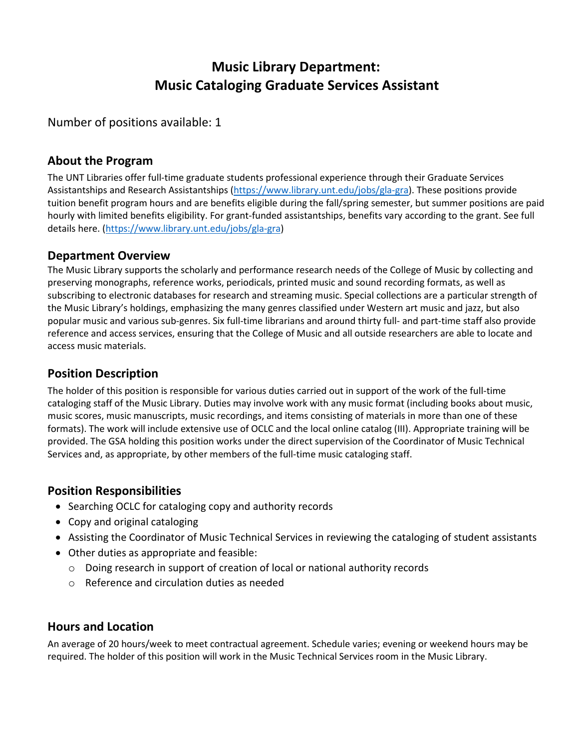# **Music Library Department: Music Cataloging Graduate Services Assistant**

Number of positions available: 1

# **About the Program**

The UNT Libraries offer full-time graduate students professional experience through their Graduate Services Assistantships and Research Assistantships (https://www[.library.unt.edu/jobs/gla-gra\). These](https://www.library.unt.edu/jobs/gla-gra) positions provide tuition benefit program hours and are benefits eligible during the fall/spring semester, but summer positions are paid hourly with limited benefits eligibility. For grant-funded assistantships, benefits vary according to the grant. See full details here. [\(https://www.library.unt.edu/j](http://www.library.unt.edu/j)[obs/gla-gra\)](https://www.library.unt.edu/jobs/gla-gra)

### **Department Overview**

The Music Library supports the scholarly and performance research needs of the College of Music by collecting and preserving monographs, reference works, periodicals, printed music and sound recording formats, as well as subscribing to electronic databases for research and streaming music. Special collections are a particular strength of the Music Library's holdings, emphasizing the many genres classified under Western art music and jazz, but also popular music and various sub-genres. Six full-time librarians and around thirty full- and part-time staff also provide reference and access services, ensuring that the College of Music and all outside researchers are able to locate and access music materials.

# **Position Description**

The holder of this position is responsible for various duties carried out in support of the work of the full-time cataloging staff of the Music Library. Duties may involve work with any music format (including books about music, music scores, music manuscripts, music recordings, and items consisting of materials in more than one of these formats). The work will include extensive use of OCLC and the local online catalog (III). Appropriate training will be provided. The GSA holding this position works under the direct supervision of the Coordinator of Music Technical Services and, as appropriate, by other members of the full-time music cataloging staff.

# **Position Responsibilities**

- Searching OCLC for cataloging copy and authority records
- Copy and original cataloging
- Assisting the Coordinator of Music Technical Services in reviewing the cataloging of student assistants
- Other duties as appropriate and feasible:
	- $\circ$  Doing research in support of creation of local or national authority records
	- o Reference and circulation duties as needed

# **Hours and Location**

An average of 20 hours/week to meet contractual agreement. Schedule varies; evening or weekend hours may be required. The holder of this position will work in the Music Technical Services room in the Music Library.